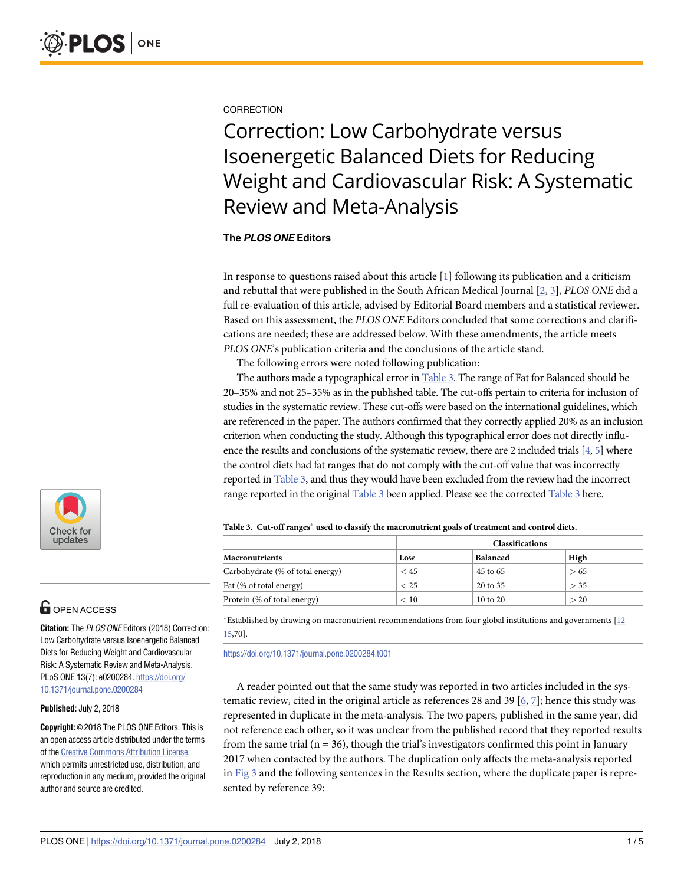#### <span id="page-0-0"></span>**CORRECTION**

# Correction: Low Carbohydrate versus Isoenergetic Balanced Diets for Reducing Weight and Cardiovascular Risk: A Systematic Review and Meta-Analysis

#### **The PLOS ONE Editors**

In response to questions raised about this article [[1\]](#page-3-0) following its publication and a criticism and rebuttal that were published in the South African Medical Journal [\[2](#page-3-0), [3](#page-3-0)], *PLOS ONE* did a full re-evaluation of this article, advised by Editorial Board members and a statistical reviewer. Based on this assessment, the *PLOS ONE* Editors concluded that some corrections and clarifications are needed; these are addressed below. With these amendments, the article meets *PLOS ONE*'s publication criteria and the conclusions of the article stand.

The following errors were noted following publication:

The authors made a typographical error in Table 3. The range of Fat for Balanced should be 20–35% and not 25–35% as in the published table. The cut-offs pertain to criteria for inclusion of studies in the systematic review. These cut-offs were based on the international guidelines, which are referenced in the paper. The authors confirmed that they correctly applied 20% as an inclusion criterion when conducting the study. Although this typographical error does not directly influence the results and conclusions of the systematic review, there are 2 included trials [[4](#page-4-0), [5](#page-4-0)] where the control diets had fat ranges that do not comply with the cut-off value that was incorrectly reported in Table 3, and thus they would have been excluded from the review had the incorrect range reported in the original Table 3 been applied. Please see the corrected Table 3 here.

|                                  | <b>Classifications</b> |                     |      |  |  |  |
|----------------------------------|------------------------|---------------------|------|--|--|--|
| <b>Macronutrients</b>            | Low                    | <b>Balanced</b>     | High |  |  |  |
| Carbohydrate (% of total energy) | $<$ 45                 | 45 to 65            | > 65 |  |  |  |
| Fat (% of total energy)          | < 25                   | 20 to 35            | > 35 |  |  |  |
| Protein (% of total energy)      | < 10                   | $10 \text{ to } 20$ | > 20 |  |  |  |

**Table 3. Cut-off ranges used to classify the macronutrient goals of treatment and control diets.**

#### $^{\ast}$ Established by drawing on macronutrient recommendations from four global institutions and governments [\[12–](#page-4-0) [15,](#page-4-0)70].

<https://doi.org/10.1371/journal.pone.0200284.t001>

A reader pointed out that the same study was reported in two articles included in the systematic review, cited in the original article as references 28 and 39 [\[6](#page-4-0), [7](#page-4-0)]; hence this study was represented in duplicate in the meta-analysis. The two papers, published in the same year, did not reference each other, so it was unclear from the published record that they reported results from the same trial ( $n = 36$ ), though the trial's investigators confirmed this point in January 2017 when contacted by the authors. The duplication only affects the meta-analysis reported in [Fig](#page-1-0) 3 and the following sentences in the Results section, where the duplicate paper is represented by reference 39:



# **G** OPEN ACCESS

**Citation:** The PLOS ONE Editors (2018) Correction: Low Carbohydrate versus Isoenergetic Balanced Diets for Reducing Weight and Cardiovascular Risk: A Systematic Review and Meta-Analysis. PLoS ONE 13(7): e0200284. [https://doi.org/](https://doi.org/10.1371/journal.pone.0200284) [10.1371/journal.pone.0200284](https://doi.org/10.1371/journal.pone.0200284)

#### **Published:** July 2, 2018

**Copyright:** © 2018 The PLOS ONE Editors. This is an open access article distributed under the terms of the Creative [Commons](http://creativecommons.org/licenses/by/4.0/) Attribution License, which permits unrestricted use, distribution, and reproduction in any medium, provided the original author and source are credited.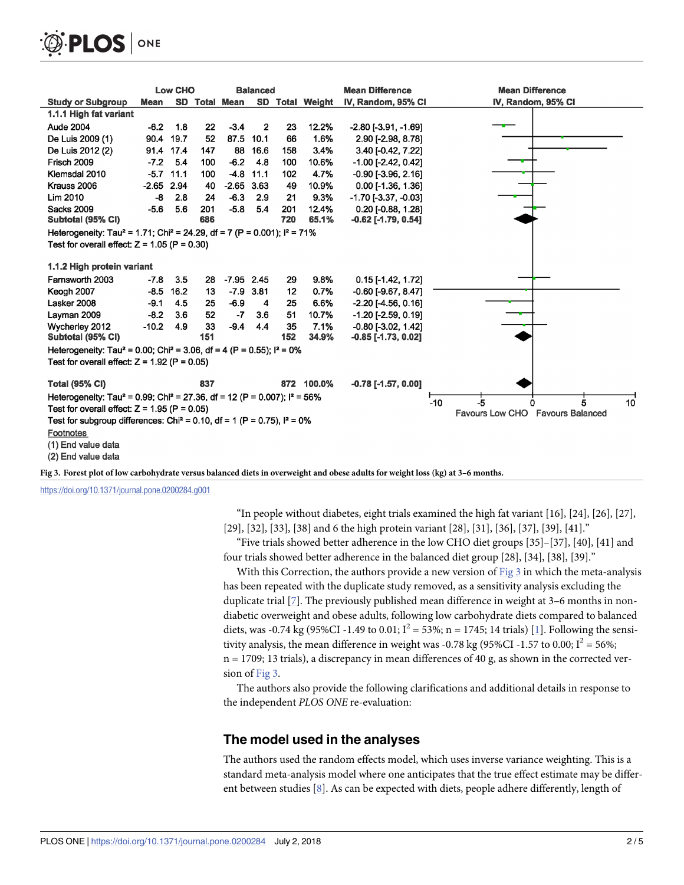<span id="page-1-0"></span>

|                                                                                                                   |              | <b>Low CHO</b> | <b>Balanced</b> |               |                | <b>Mean Difference</b> | <b>Mean Difference</b> |                                                           |                    |
|-------------------------------------------------------------------------------------------------------------------|--------------|----------------|-----------------|---------------|----------------|------------------------|------------------------|-----------------------------------------------------------|--------------------|
| <b>Study or Subgroup</b>                                                                                          | <b>Mean</b>  |                |                 | SD Total Mean |                |                        | SD Total Weight        | IV, Random, 95% CI                                        | IV, Random, 95% CI |
| 1.1.1 High fat variant                                                                                            |              |                |                 |               |                |                        |                        |                                                           |                    |
| <b>Aude 2004</b>                                                                                                  | $-6.2$       | 1.8            | 22              | $-3.4$        | $\overline{2}$ | 23                     | 12.2%                  | $-2.80$ [ $-3.91$ , $-1.69$ ]                             |                    |
| De Luis 2009 (1)                                                                                                  | 90.4         | 19.7           | 52              | 87.5          | 10.1           | 66                     | 1.6%                   | 2.90 [-2.98, 8.78]                                        |                    |
| De Luis 2012 (2)                                                                                                  |              | 91.4 17.4      | 147             | 88            | 16.6           | 158                    | 3.4%                   | 3.40 [-0.42, 7.22]                                        |                    |
| Frisch 2009                                                                                                       | $-7.2$       | 5.4            | 100             | $-6.2$        | 4.8            | 100                    | 10.6%                  | $-1.00$ [ $-2.42$ , 0.42]                                 |                    |
| Klemsdal 2010                                                                                                     |              | $-5.7$ 11.1    | 100             | $-4.8$        | 11.1           | 102                    | 4.7%                   | $-0.90$ [ $-3.96$ , $2.16$ ]                              |                    |
| Krauss 2006                                                                                                       | $-2.65$ 2.94 |                | 40              | $-2.65$       | 3.63           | 49                     | 10.9%                  | $0.00$ [-1.36, 1.36]                                      |                    |
| <b>Lim 2010</b>                                                                                                   | -8           | 2.8            | 24              | $-6.3$        | 2.9            | 21                     | 9.3%                   | $-1.70$ [ $-3.37$ , $-0.03$ ]                             |                    |
| <b>Sacks 2009</b>                                                                                                 | $-5.6$       | 5.6            | 201             | $-5.8$        | 5.4            | 201                    | 12.4%                  | $0.20$ [-0.88, 1.28]                                      |                    |
| Subtotal (95% CI)                                                                                                 |              |                | 686             |               |                | 720                    | 65.1%                  | $-0.62$ [ $-1.79, 0.54$ ]                                 |                    |
| Heterogeneity: Tau <sup>2</sup> = 1.71; Chi <sup>2</sup> = 24.29, df = 7 (P = 0.001); $I^2$ = 71%                 |              |                |                 |               |                |                        |                        |                                                           |                    |
| Test for overall effect: $Z = 1.05$ (P = 0.30)                                                                    |              |                |                 |               |                |                        |                        |                                                           |                    |
| 1.1.2 High protein variant                                                                                        |              |                |                 |               |                |                        |                        |                                                           |                    |
| Farnsworth 2003                                                                                                   | $-7.8$       | 3.5            | 28              | $-7.95$ 2.45  |                | 29                     | 9.8%                   | $0.15$ [-1.42, 1.72]                                      |                    |
| Keogh 2007                                                                                                        | $-8.5$       | 16.2           | 13              | $-7.9$        | 3.81           | 12                     | 0.7%                   | $-0.60$ [ $-9.67, 8.47$ ]                                 |                    |
| Lasker 2008                                                                                                       | $-9.1$       | 4.5            | 25              | $-6.9$        | 4              | 25                     | 6.6%                   | $-2.20$ [ $-4.56$ , 0.16]                                 |                    |
| Layman 2009                                                                                                       | $-8.2$       | 3.6            | 52              | $-7$          | 3.6            | 51                     | 10.7%                  | $-1.20$ [ $-2.59$ , 0.19]                                 |                    |
| Wycherley 2012                                                                                                    | $-10.2$      | 4.9            | 33              | $-9.4$        | 4.4            | 35                     | 7.1%                   | $-0.80$ [ $-3.02$ , 1.42]                                 |                    |
| Subtotal (95% CI)                                                                                                 |              |                | 151             |               |                | 152                    | 34.9%                  | -0.85 [-1.73, 0.02]                                       |                    |
| Heterogeneity: Tau <sup>2</sup> = 0.00; Chi <sup>2</sup> = 3.06, df = 4 (P = 0.55); $1^2$ = 0%                    |              |                |                 |               |                |                        |                        |                                                           |                    |
| Test for overall effect: $Z = 1.92$ (P = 0.05)                                                                    |              |                |                 |               |                |                        |                        |                                                           |                    |
| <b>Total (95% CI)</b>                                                                                             |              |                | 837             |               |                |                        | 872 100.0%             | $-0.78$ [ $-1.57$ , $0.00$ ]                              |                    |
| Heterogeneity: Tau <sup>2</sup> = 0.99; Chi <sup>2</sup> = 27.36, df = 12 (P = 0.007); l <sup>2</sup> = 56%<br>-5 |              |                |                 |               |                |                        |                        |                                                           |                    |
| Test for overall effect: $Z = 1.95$ (P = 0.05)                                                                    |              |                |                 |               |                |                        |                        | 10<br>$-10$<br>5<br>o<br>Favours Low CHO Favours Balanced |                    |
| Test for subgroup differences: Chi <sup>2</sup> = 0.10, df = 1 (P = 0.75), $I^2 = 0\%$                            |              |                |                 |               |                |                        |                        |                                                           |                    |
| Footnotes                                                                                                         |              |                |                 |               |                |                        |                        |                                                           |                    |
| (1) End value data                                                                                                |              |                |                 |               |                |                        |                        |                                                           |                    |
| (2) End value data                                                                                                |              |                |                 |               |                |                        |                        |                                                           |                    |

[Fig](#page-0-0) 3. Forest plot of low carbohydrate versus balanced diets in overweight and obese adults for weight loss (kg) at 3-6 months.

<https://doi.org/10.1371/journal.pone.0200284.g001>

"In people without diabetes, eight trials examined the high fat variant [16], [24], [26], [27], [29], [32], [33], [38] and 6 the high protein variant [28], [31], [36], [37], [39], [41]."

"Five trials showed better adherence in the low CHO diet groups [35]–[37], [40], [41] and four trials showed better adherence in the balanced diet group [28], [34], [38], [39]."

With this Correction, the authors provide a new version of  $Fig 3$  in which the meta-analysis has been repeated with the duplicate study removed, as a sensitivity analysis excluding the duplicate trial [[7](#page-4-0)]. The previously published mean difference in weight at 3–6 months in nondiabetic overweight and obese adults, following low carbohydrate diets compared to balanced diets, was -0.74 kg (95%CI -1.49 to 0.01;  $I^2 = 53\%$ ; n = 1745; 14 trials) [[1\]](#page-3-0). Following the sensitivity analysis, the mean difference in weight was -0.78 kg (95%CI -1.57 to 0.00;  $I^2 = 56\%$ ;  $n = 1709$ ; 13 trials), a discrepancy in mean differences of 40 g, as shown in the corrected version of Fig 3.

The authors also provide the following clarifications and additional details in response to the independent *PLOS ONE* re-evaluation:

#### **The model used in the analyses**

The authors used the random effects model, which uses inverse variance weighting. This is a standard meta-analysis model where one anticipates that the true effect estimate may be different between studies [\[8](#page-4-0)]. As can be expected with diets, people adhere differently, length of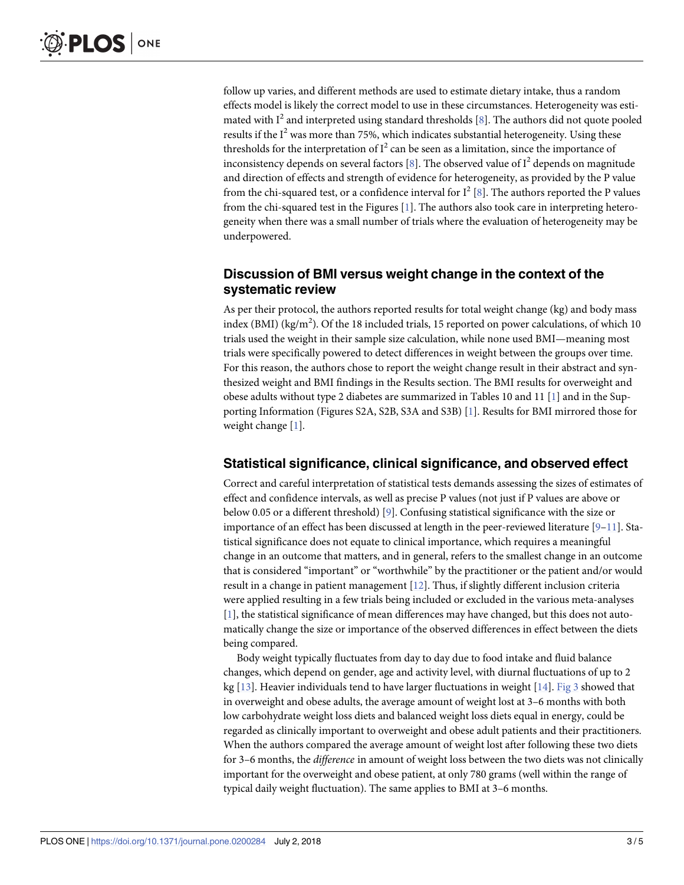<span id="page-2-0"></span>follow up varies, and different methods are used to estimate dietary intake, thus a random effects model is likely the correct model to use in these circumstances. Heterogeneity was estimated with  $I^2$  and interpreted using standard thresholds [[8\]](#page-4-0). The authors did not quote pooled results if the  $I^2$  was more than 75%, which indicates substantial heterogeneity. Using these thresholds for the interpretation of  $I^2$  can be seen as a limitation, since the importance of inconsistency depends on several factors [[8](#page-4-0)]. The observed value of  $I^2$  depends on magnitude and direction of effects and strength of evidence for heterogeneity, as provided by the P value from the chi-squared test, or a confidence interval for  $I^2$  [\[8\]](#page-4-0). The authors reported the P values from the chi-squared test in the Figures [\[1](#page-3-0)]. The authors also took care in interpreting heterogeneity when there was a small number of trials where the evaluation of heterogeneity may be underpowered.

# **Discussion of BMI versus weight change in the context of the systematic review**

As per their protocol, the authors reported results for total weight change (kg) and body mass index (BMI) (kg/m<sup>2</sup>). Of the 18 included trials, 15 reported on power calculations, of which 10 trials used the weight in their sample size calculation, while none used BMI—meaning most trials were specifically powered to detect differences in weight between the groups over time. For this reason, the authors chose to report the weight change result in their abstract and synthesized weight and BMI findings in the Results section. The BMI results for overweight and obese adults without type 2 diabetes are summarized in Tables 10 and 11 [\[1](#page-3-0)] and in the Supporting Information (Figures S2A, S2B, S3A and S3B) [\[1\]](#page-3-0). Results for BMI mirrored those for weight change [[1](#page-3-0)].

### **Statistical significance, clinical significance, and observed effect**

Correct and careful interpretation of statistical tests demands assessing the sizes of estimates of effect and confidence intervals, as well as precise P values (not just if P values are above or below 0.05 or a different threshold) [[9](#page-4-0)]. Confusing statistical significance with the size or importance of an effect has been discussed at length in the peer-reviewed literature  $[9-11]$ . Statistical significance does not equate to clinical importance, which requires a meaningful change in an outcome that matters, and in general, refers to the smallest change in an outcome that is considered "important" or "worthwhile" by the practitioner or the patient and/or would result in a change in patient management [\[12\]](#page-4-0). Thus, if slightly different inclusion criteria were applied resulting in a few trials being included or excluded in the various meta-analyses [\[1](#page-3-0)], the statistical significance of mean differences may have changed, but this does not automatically change the size or importance of the observed differences in effect between the diets being compared.

Body weight typically fluctuates from day to day due to food intake and fluid balance changes, which depend on gender, age and activity level, with diurnal fluctuations of up to 2 kg [\[13\]](#page-4-0). Heavier individuals tend to have larger fluctuations in weight [\[14\]](#page-4-0). [Fig](#page-1-0) 3 showed that in overweight and obese adults, the average amount of weight lost at 3–6 months with both low carbohydrate weight loss diets and balanced weight loss diets equal in energy, could be regarded as clinically important to overweight and obese adult patients and their practitioners. When the authors compared the average amount of weight lost after following these two diets for 3–6 months, the *difference* in amount of weight loss between the two diets was not clinically important for the overweight and obese patient, at only 780 grams (well within the range of typical daily weight fluctuation). The same applies to BMI at 3–6 months.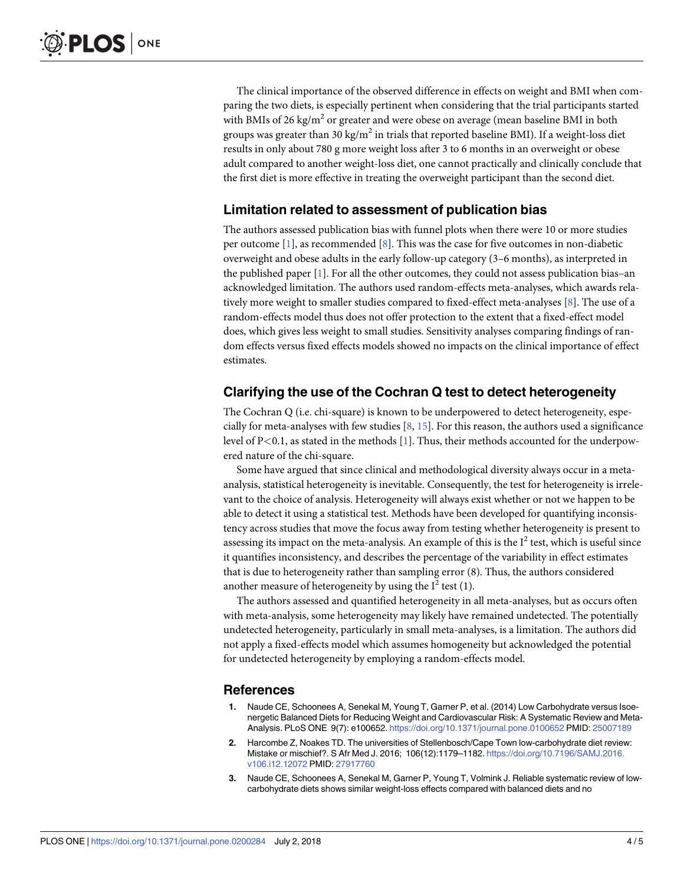<span id="page-3-0"></span>The clinical importance of the observed difference in effects on weight and BMI when comparing the two diets, is especially pertinent when considering that the trial participants started with BMIs of 26 kg/ $m^2$  or greater and were obese on average (mean baseline BMI in both groups was greater than 30 kg/m<sup>2</sup> in trials that reported baseline BMI). If a weight-loss diet results in only about 780 g more weight loss after 3 to 6 months in an overweight or obese adult compared to another weight-loss diet, one cannot practically and clinically conclude that the first diet is more effective in treating the overweight participant than the second diet.

## **Limitation related to assessment of publication bias**

The authors assessed publication bias with funnel plots when there were 10 or more studies per outcome [1], as recommended [\[8](#page-4-0)]. This was the case for five outcomes in non-diabetic overweight and obese adults in the early follow-up category (3–6 months), as interpreted in the published paper [1]. For all the other outcomes, they could not assess publication bias-an acknowledged limitation. The authors used random-effects meta-analyses, which awards relatively more weight to smaller studies compared to fixed-effect meta-analyses [\[8](#page-4-0)]. The use of a random-effects model thus does not offer protection to the extent that a fixed-effect model does, which gives less weight to small studies. Sensitivity analyses comparing findings of random effects versus fixed effects models showed no impacts on the clinical importance of effect estimates.

# **Clarifying the use of the Cochran Q test to detect heterogeneity**

The Cochran Q (i.e. chi-square) is known to be underpowered to detect heterogeneity, especially for meta-analyses with few studies  $[8, 15]$  $[8, 15]$  $[8, 15]$ . For this reason, the authors used a significance level of P*<*0.1, as stated in the methods [1]. Thus, their methods accounted for the underpowered nature of the chi-square.

Some have argued that since clinical and methodological diversity always occur in a metaanalysis, statistical heterogeneity is inevitable. Consequently, the test for heterogeneity is irrelevant to the choice of analysis. Heterogeneity will always exist whether or not we happen to be able to detect it using a statistical test. Methods have been developed for quantifying inconsistency across studies that move the focus away from testing whether heterogeneity is present to assessing its impact on the meta-analysis. An example of this is the  $I^2$  test, which is useful since it quantifies inconsistency, and describes the percentage of the variability in effect estimates that is due to heterogeneity rather than sampling error (8). Thus, the authors considered another measure of heterogeneity by using the  $I^2$  test (1).

The authors assessed and quantified heterogeneity in all meta-analyses, but as occurs often with meta-analysis, some heterogeneity may likely have remained undetected. The potentially undetected heterogeneity, particularly in small meta-analyses, is a limitation. The authors did not apply a fixed-effects model which assumes homogeneity but acknowledged the potential for undetected heterogeneity by employing a random-effects model.

#### **References**

- **[1](#page-0-0).** Naude CE, Schoonees A, Senekal M, Young T, Garner P, et al. (2014) Low Carbohydrate versus Isoenergetic Balanced Diets for Reducing Weight and Cardiovascular Risk: A Systematic Review and Meta-Analysis. PLoS ONE 9(7): e100652. <https://doi.org/10.1371/journal.pone.0100652> PMID: [25007189](http://www.ncbi.nlm.nih.gov/pubmed/25007189)
- **[2](#page-0-0).** Harcombe Z, Noakes TD. The universities of Stellenbosch/Cape Town low-carbohydrate diet review: Mistake or mischief?. S Afr Med J. 2016; 106(12):1179–1182. [https://doi.org/10.7196/SAMJ.2016.](https://doi.org/10.7196/SAMJ.2016.v106.i12.12072) [v106.i12.12072](https://doi.org/10.7196/SAMJ.2016.v106.i12.12072) PMID: [27917760](http://www.ncbi.nlm.nih.gov/pubmed/27917760)
- **[3](#page-0-0).** Naude CE, Schoonees A, Senekal M, Garner P, Young T, Volmink J. Reliable systematic review of lowcarbohydrate diets shows similar weight-loss effects compared with balanced diets and no